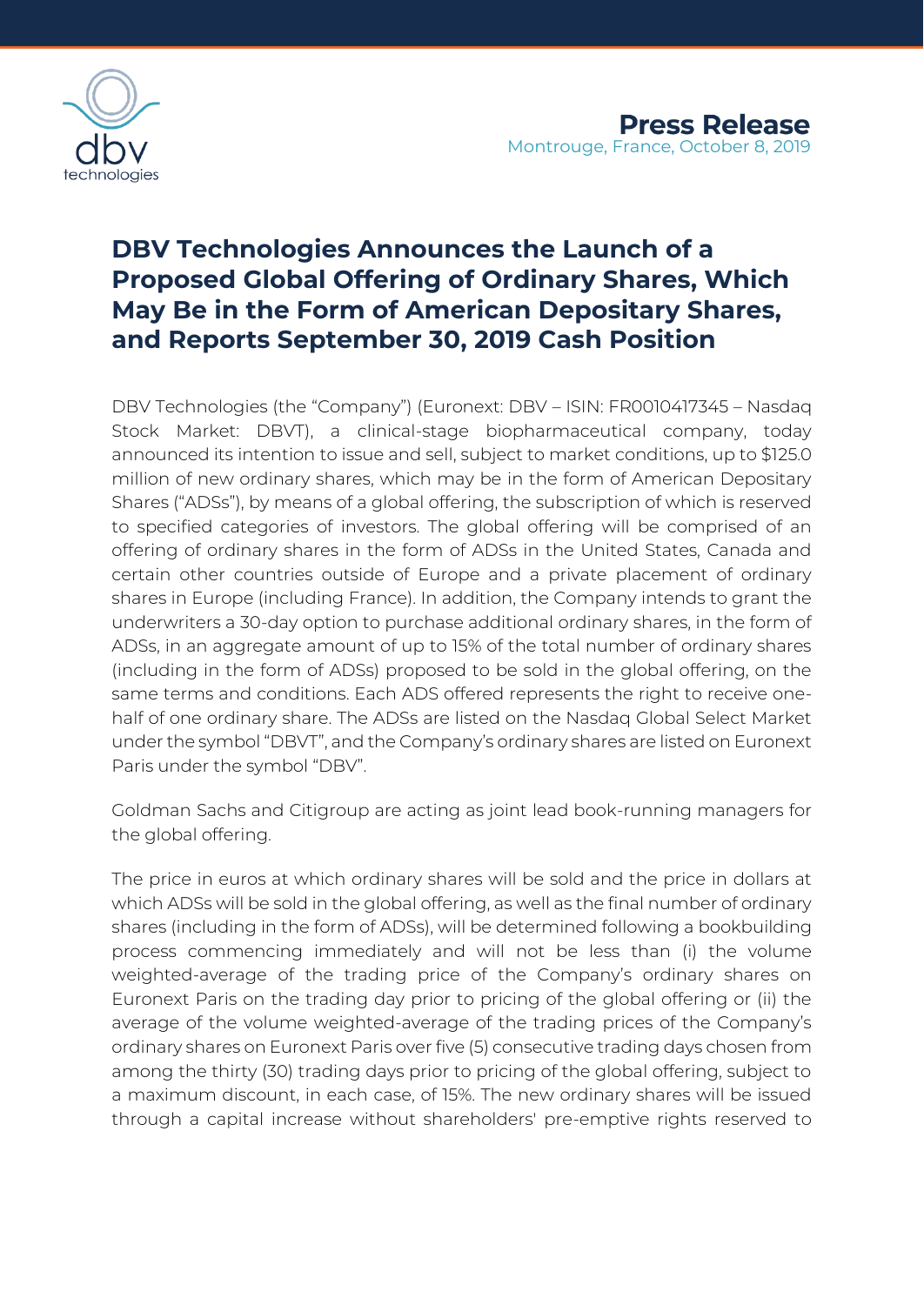

# **DBV Technologies Announces the Launch of a Proposed Global Offering of Ordinary Shares, Which May Be in the Form of American Depositary Shares, and Reports September 30, 2019 Cash Position**

DBV Technologies (the "Company") (Euronext: DBV – ISIN: FR0010417345 – Nasdaq Stock Market: DBVT), a clinical-stage biopharmaceutical company, today announced its intention to issue and sell, subject to market conditions, up to \$125.0 million of new ordinary shares, which may be in the form of American Depositary Shares ("ADSs"), by means of a global offering, the subscription of which is reserved to specified categories of investors. The global offering will be comprised of an offering of ordinary shares in the form of ADSs in the United States, Canada and certain other countries outside of Europe and a private placement of ordinary shares in Europe (including France). In addition, the Company intends to grant the underwriters a 30-day option to purchase additional ordinary shares, in the form of ADSs, in an aggregate amount of up to 15% of the total number of ordinary shares (including in the form of ADSs) proposed to be sold in the global offering, on the same terms and conditions. Each ADS offered represents the right to receive onehalf of one ordinary share. The ADSs are listed on the Nasdaq Global Select Market under the symbol "DBVT", and the Company's ordinary shares are listed on Euronext Paris under the symbol "DBV".

Goldman Sachs and Citigroup are acting as joint lead book-running managers for the global offering.

The price in euros at which ordinary shares will be sold and the price in dollars at which ADSs will be sold in the global offering, as well as the final number of ordinary shares (including in the form of ADSs), will be determined following a bookbuilding process commencing immediately and will not be less than (i) the volume weighted-average of the trading price of the Company's ordinary shares on Euronext Paris on the trading day prior to pricing of the global offering or (ii) the average of the volume weighted-average of the trading prices of the Company's ordinary shares on Euronext Paris over five (5) consecutive trading days chosen from among the thirty (30) trading days prior to pricing of the global offering, subject to a maximum discount, in each case, of 15%. The new ordinary shares will be issued through a capital increase without shareholders' pre-emptive rights reserved to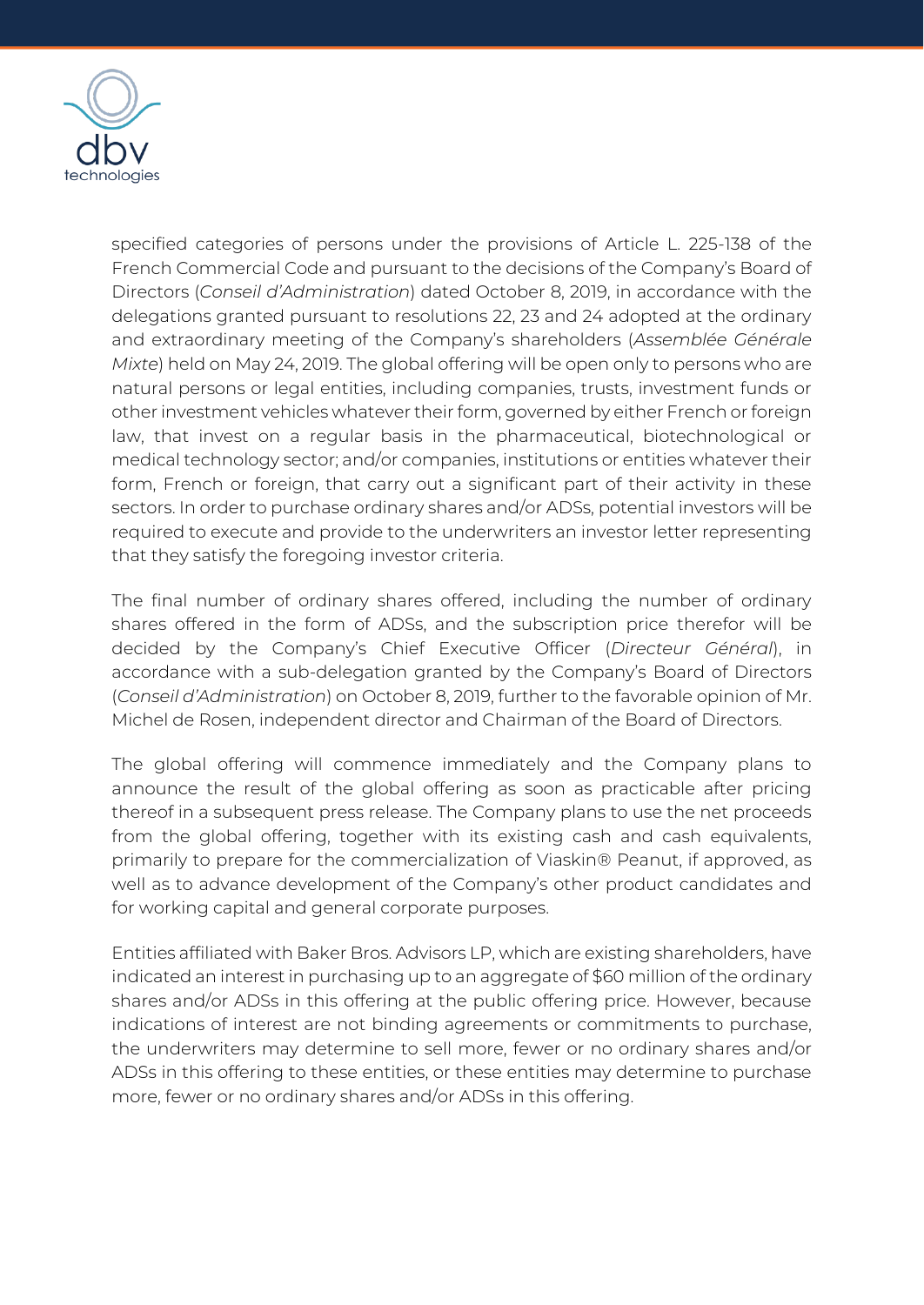

specified categories of persons under the provisions of Article L. 225-138 of the French Commercial Code and pursuant to the decisions of the Company's Board of Directors (*Conseil d'Administration*) dated October 8, 2019, in accordance with the delegations granted pursuant to resolutions 22, 23 and 24 adopted at the ordinary and extraordinary meeting of the Company's shareholders (*Assemblée Générale Mixte*) held on May 24, 2019. The global offering will be open only to persons who are natural persons or legal entities, including companies, trusts, investment funds or other investment vehicles whatever their form, governed by either French or foreign law, that invest on a regular basis in the pharmaceutical, biotechnological or medical technology sector; and/or companies, institutions or entities whatever their form, French or foreign, that carry out a significant part of their activity in these sectors. In order to purchase ordinary shares and/or ADSs, potential investors will be required to execute and provide to the underwriters an investor letter representing that they satisfy the foregoing investor criteria.

The final number of ordinary shares offered, including the number of ordinary shares offered in the form of ADSs, and the subscription price therefor will be decided by the Company's Chief Executive Officer (*Directeur Général*), in accordance with a sub-delegation granted by the Company's Board of Directors (*Conseil d'Administration*) on October 8, 2019, further to the favorable opinion of Mr. Michel de Rosen, independent director and Chairman of the Board of Directors.

The global offering will commence immediately and the Company plans to announce the result of the global offering as soon as practicable after pricing thereof in a subsequent press release. The Company plans to use the net proceeds from the global offering, together with its existing cash and cash equivalents, primarily to prepare for the commercialization of Viaskin® Peanut, if approved, as well as to advance development of the Company's other product candidates and for working capital and general corporate purposes.

Entities affiliated with Baker Bros. Advisors LP, which are existing shareholders, have indicated an interest in purchasing up to an aggregate of \$60 million of the ordinary shares and/or ADSs in this offering at the public offering price. However, because indications of interest are not binding agreements or commitments to purchase, the underwriters may determine to sell more, fewer or no ordinary shares and/or ADSs in this offering to these entities, or these entities may determine to purchase more, fewer or no ordinary shares and/or ADSs in this offering.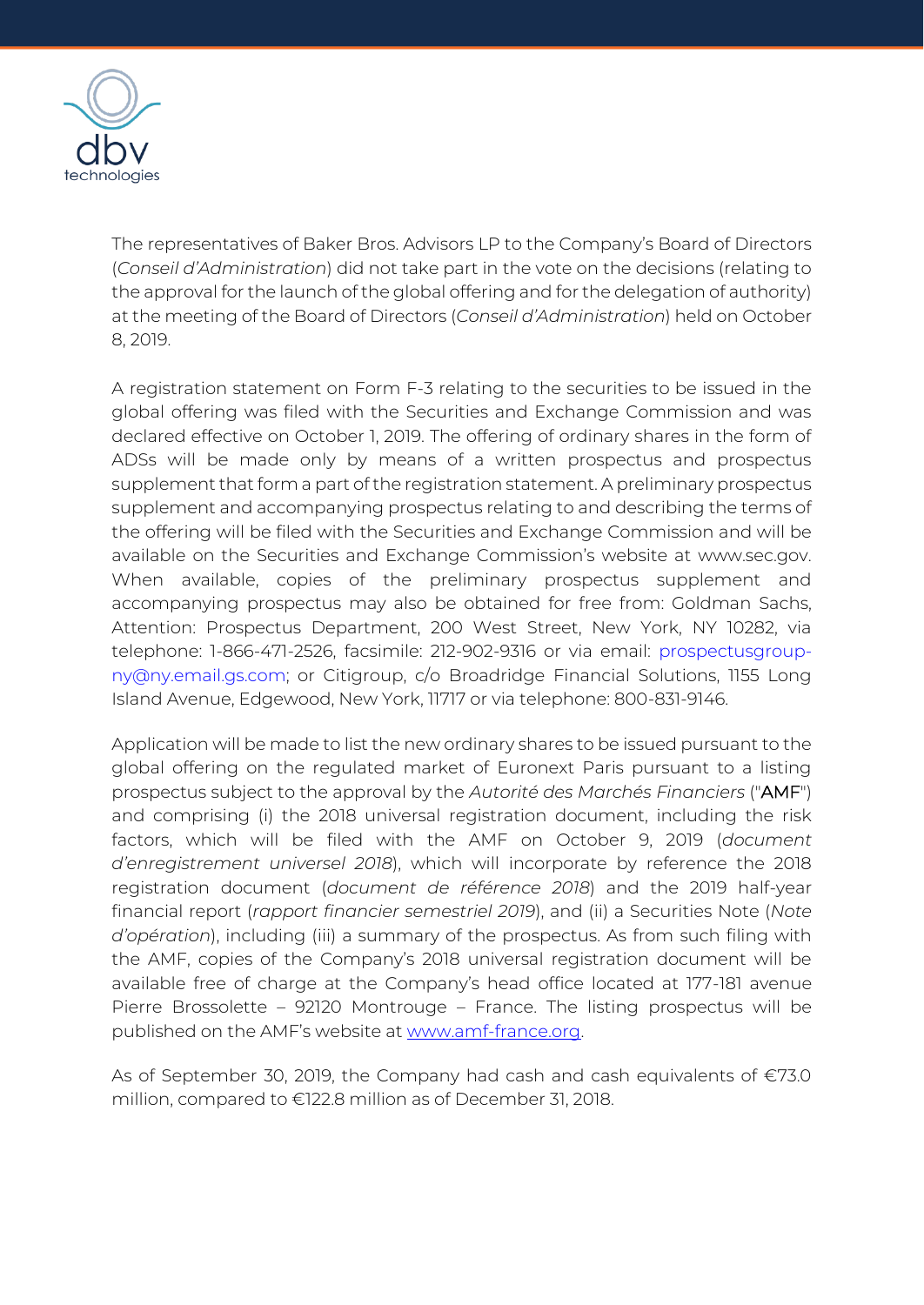

The representatives of Baker Bros. Advisors LP to the Company's Board of Directors (*Conseil d'Administration*) did not take part in the vote on the decisions (relating to the approval for the launch of the global offering and for the delegation of authority) at the meeting of the Board of Directors (*Conseil d'Administration*) held on October 8, 2019.

A registration statement on Form F-3 relating to the securities to be issued in the global offering was filed with the Securities and Exchange Commission and was declared effective on October 1, 2019. The offering of ordinary shares in the form of ADSs will be made only by means of a written prospectus and prospectus supplement that form a part of the registration statement. A preliminary prospectus supplement and accompanying prospectus relating to and describing the terms of the offering will be filed with the Securities and Exchange Commission and will be available on the Securities and Exchange Commission's website at www.sec.gov. When available, copies of the preliminary prospectus supplement and accompanying prospectus may also be obtained for free from: Goldman Sachs, Attention: Prospectus Department, 200 West Street, New York, NY 10282, via telephone: 1-866-471-2526, facsimile: 212-902-9316 or via email: prospectusgroupny@ny.email.gs.com; or Citigroup, c/o Broadridge Financial Solutions, 1155 Long Island Avenue, Edgewood, New York, 11717 or via telephone: 800-831-9146.

Application will be made to list the new ordinary shares to be issued pursuant to the global offering on the regulated market of Euronext Paris pursuant to a listing prospectus subject to the approval by the *Autorité des Marchés Financiers* ("AMF") and comprising (i) the 2018 universal registration document, including the risk factors, which will be filed with the AMF on October 9, 2019 (*document d'enregistrement universel 2018*), which will incorporate by reference the 2018 registration document (*document de référence 2018*) and the 2019 half-year financial report (*rapport financier semestriel 2019*), and (ii) a Securities Note (*Note d'opération*), including (iii) a summary of the prospectus. As from such filing with the AMF, copies of the Company's 2018 universal registration document will be available free of charge at the Company's head office located at 177-181 avenue Pierre Brossolette – 92120 Montrouge – France. The listing prospectus will be published on the AMF's website at [www.amf-france.org.](http://www.amf-france.org/)

As of September 30, 2019, the Company had cash and cash equivalents of  $\epsilon$ 73.0 million, compared to €122.8 million as of December 31, 2018.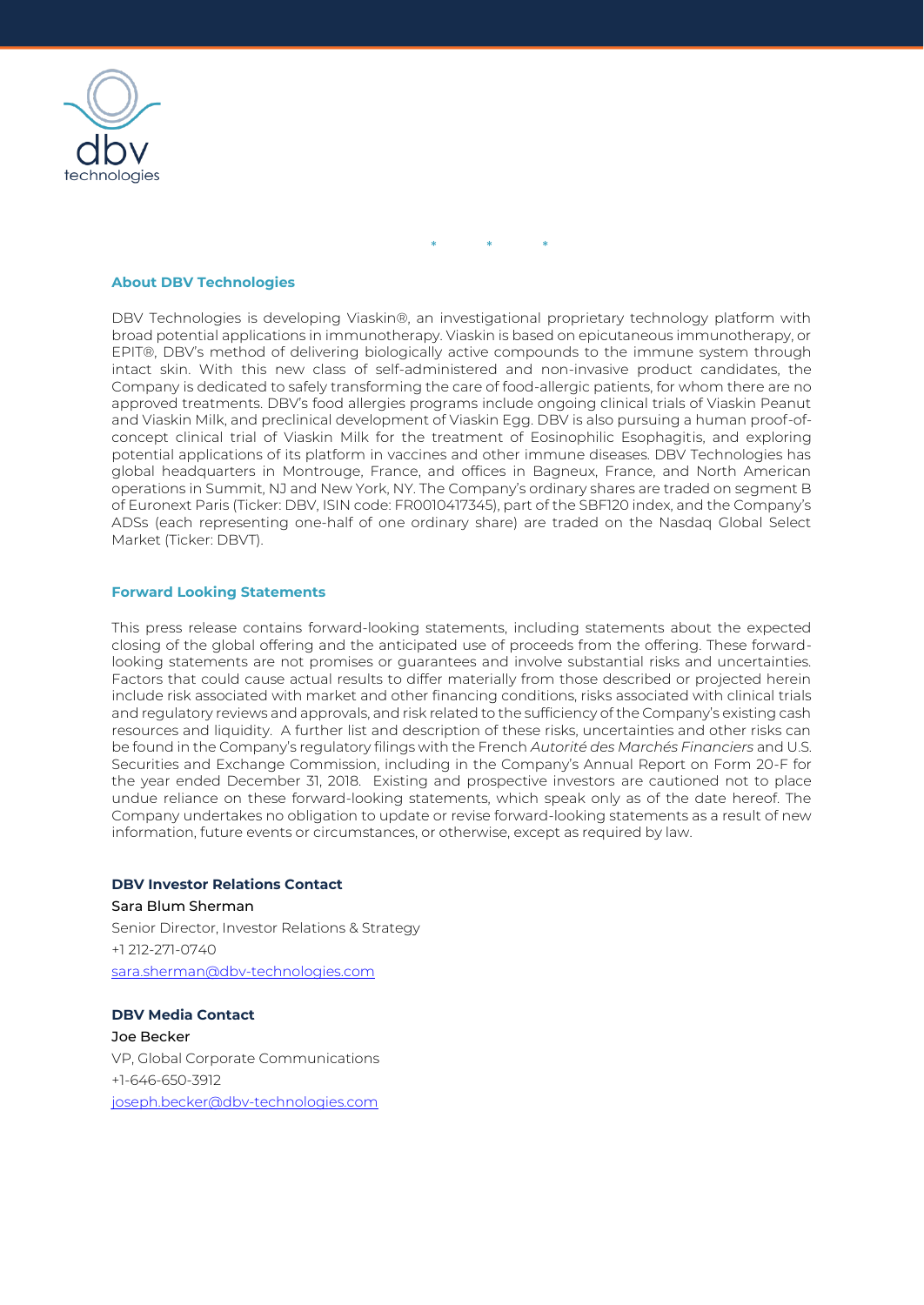

\* \* \*

### **About DBV Technologies**

DBV Technologies is developing Viaskin®, an investigational proprietary technology platform with broad potential applications in immunotherapy. Viaskin is based on epicutaneous immunotherapy, or EPIT®, DBV's method of delivering biologically active compounds to the immune system through intact skin. With this new class of self-administered and non-invasive product candidates, the Company is dedicated to safely transforming the care of food-allergic patients, for whom there are no approved treatments. DBV's food allergies programs include ongoing clinical trials of Viaskin Peanut and Viaskin Milk, and preclinical development of Viaskin Egg. DBV is also pursuing a human proof-ofconcept clinical trial of Viaskin Milk for the treatment of Eosinophilic Esophagitis, and exploring potential applications of its platform in vaccines and other immune diseases. DBV Technologies has global headquarters in Montrouge, France, and offices in Bagneux, France, and North American operations in Summit, NJ and New York, NY. The Company's ordinary shares are traded on segment B of Euronext Paris (Ticker: DBV, ISIN code: FR0010417345), part of the SBF120 index, and the Company's ADSs (each representing one-half of one ordinary share) are traded on the Nasdaq Global Select Market (Ticker: DBVT).

#### **Forward Looking Statements**

This press release contains forward-looking statements, including statements about the expected closing of the global offering and the anticipated use of proceeds from the offering. These forwardlooking statements are not promises or guarantees and involve substantial risks and uncertainties. Factors that could cause actual results to differ materially from those described or projected herein include risk associated with market and other financing conditions, risks associated with clinical trials and regulatory reviews and approvals, and risk related to the sufficiency of the Company's existing cash resources and liquidity. A further list and description of these risks, uncertainties and other risks can be found in the Company's regulatory filings with the French *Autorité des Marchés Financiers* and U.S. Securities and Exchange Commission, including in the Company's Annual Report on Form 20-F for the year ended December 31, 2018. Existing and prospective investors are cautioned not to place undue reliance on these forward-looking statements, which speak only as of the date hereof. The Company undertakes no obligation to update or revise forward-looking statements as a result of new information, future events or circumstances, or otherwise, except as required by law.

## **DBV Investor Relations Contact**

Sara Blum Sherman Senior Director, Investor Relations & Strategy +1 212-271-0740 [sara.sherman@dbv-technologies.com](mailto:sara.sherman@dbv-technologies.com)

**DBV Media Contact** Joe Becker VP, Global Corporate Communications +1-646-650-3912 [joseph.becker@dbv-technologies.com](mailto:joseph.becker@dbv-technologies.com)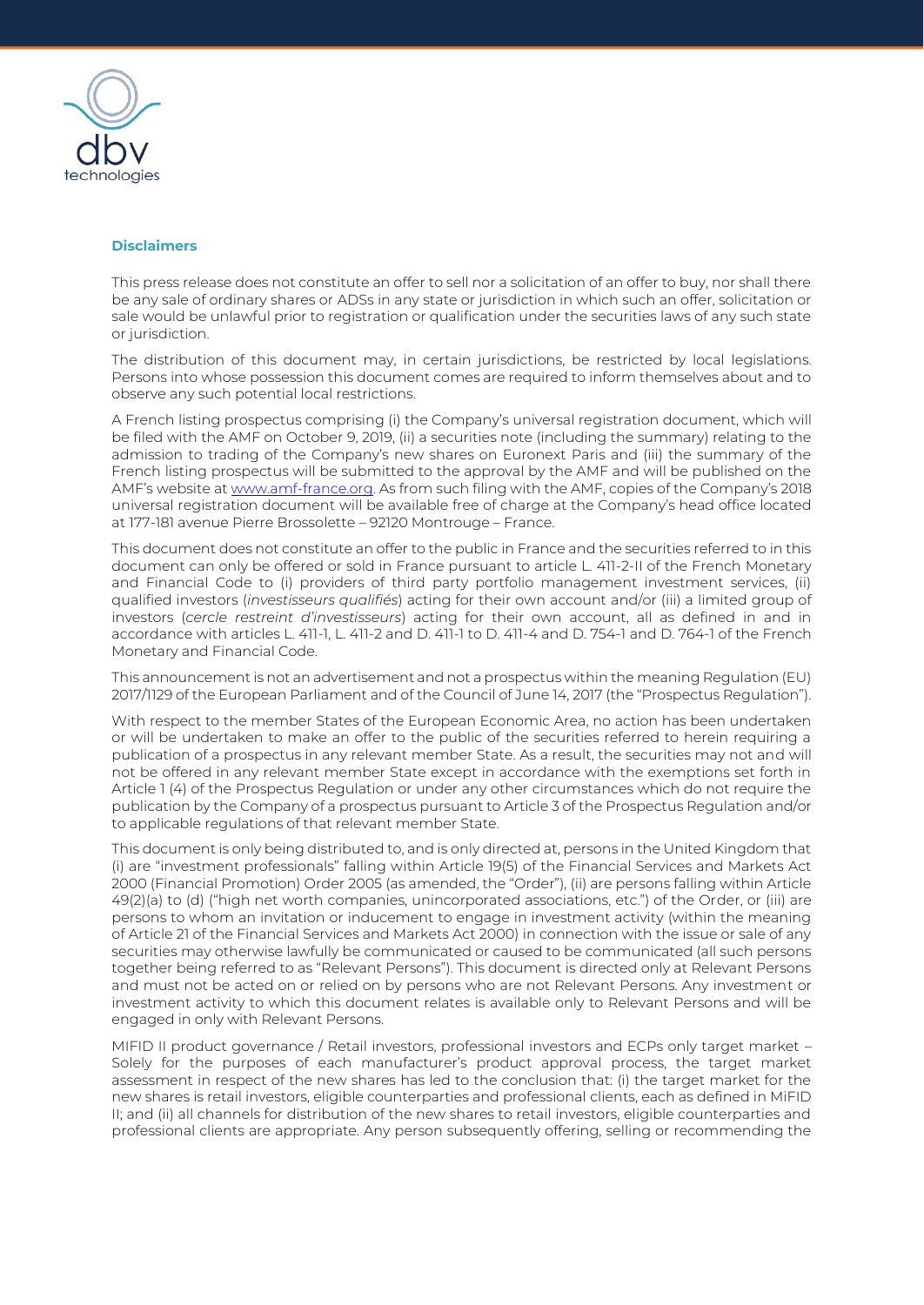

#### **Disclaimers**

This press release does not constitute an offer to sell nor a solicitation of an offer to buy, nor shall there be any sale of ordinary shares or ADSs in any state or jurisdiction in which such an offer, solicitation or sale would be unlawful prior to registration or qualification under the securities laws of any such state or jurisdiction.

The distribution of this document may, in certain jurisdictions, be restricted by local legislations. Persons into whose possession this document comes are required to inform themselves about and to observe any such potential local restrictions.

A French listing prospectus comprising (i) the Company's universal registration document, which will be filed with the AMF on October 9, 2019, (ii) a securities note (including the summary) relating to the admission to trading of the Company's new shares on Euronext Paris and (iii) the summary of the French listing prospectus will be submitted to the approval by the AMF and will be published on the AMF's website at [www.amf-france.org.](http://www.amf-france.org/) As from such filing with the AMF, copies of the Company's 2018 universal registration document will be available free of charge at the Company's head office located at 177-181 avenue Pierre Brossolette – 92120 Montrouge – France.

This document does not constitute an offer to the public in France and the securities referred to in this document can only be offered or sold in France pursuant to article L. 411-2-II of the French Monetary and Financial Code to (i) providers of third party portfolio management investment services, (ii) qualified investors (*investisseurs qualifiés*) acting for their own account and/or (iii) a limited group of investors (*cercle restreint d'investisseurs*) acting for their own account, all as defined in and in accordance with articles L. 411-1, L. 411-2 and D. 411-1 to D. 411-4 and D. 754-1 and D. 764-1 of the French Monetary and Financial Code.

This announcement is not an advertisement and not a prospectus within the meaning Regulation (EU) 2017/1129 of the European Parliament and of the Council of June 14, 2017 (the "Prospectus Regulation").

With respect to the member States of the European Economic Area, no action has been undertaken or will be undertaken to make an offer to the public of the securities referred to herein requiring a publication of a prospectus in any relevant member State. As a result, the securities may not and will not be offered in any relevant member State except in accordance with the exemptions set forth in Article 1 (4) of the Prospectus Regulation or under any other circumstances which do not require the publication by the Company of a prospectus pursuant to Article 3 of the Prospectus Regulation and/or to applicable regulations of that relevant member State.

This document is only being distributed to, and is only directed at, persons in the United Kingdom that (i) are "investment professionals" falling within Article 19(5) of the Financial Services and Markets Act 2000 (Financial Promotion) Order 2005 (as amended, the "Order"), (ii) are persons falling within Article 49(2)(a) to (d) ("high net worth companies, unincorporated associations, etc.") of the Order, or (iii) are persons to whom an invitation or inducement to engage in investment activity (within the meaning of Article 21 of the Financial Services and Markets Act 2000) in connection with the issue or sale of any securities may otherwise lawfully be communicated or caused to be communicated (all such persons together being referred to as "Relevant Persons"). This document is directed only at Relevant Persons and must not be acted on or relied on by persons who are not Relevant Persons. Any investment or investment activity to which this document relates is available only to Relevant Persons and will be engaged in only with Relevant Persons.

MIFID II product governance / Retail investors, professional investors and ECPs only target market – Solely for the purposes of each manufacturer's product approval process, the target market assessment in respect of the new shares has led to the conclusion that: (i) the target market for the new shares is retail investors, eligible counterparties and professional clients, each as defined in MiFID II; and (ii) all channels for distribution of the new shares to retail investors, eligible counterparties and professional clients are appropriate. Any person subsequently offering, selling or recommending the